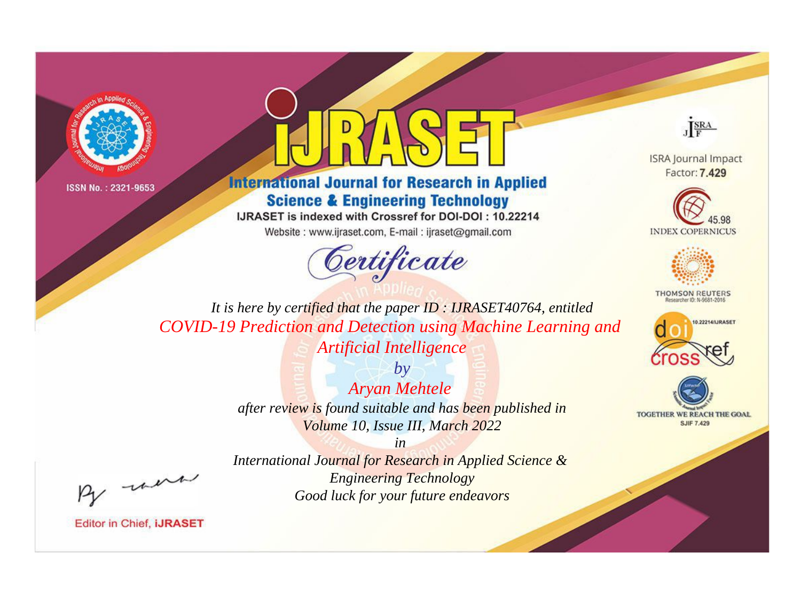



**International Journal for Research in Applied Science & Engineering Technology** 

IJRASET is indexed with Crossref for DOI-DOI: 10.22214

Website: www.ijraset.com, E-mail: ijraset@gmail.com



JERA

**ISRA Journal Impact** Factor: 7.429





**THOMSON REUTERS** 



TOGETHER WE REACH THE GOAL **SJIF 7.429** 

It is here by certified that the paper ID: IJRASET40764, entitled **COVID-19 Prediction and Detection using Machine Learning and Artificial Intelligence** 

> $by$ **Aryan Mehtele** after review is found suitable and has been published in Volume 10, Issue III, March 2022

> $in$ International Journal for Research in Applied Science & **Engineering Technology** Good luck for your future endeavors

were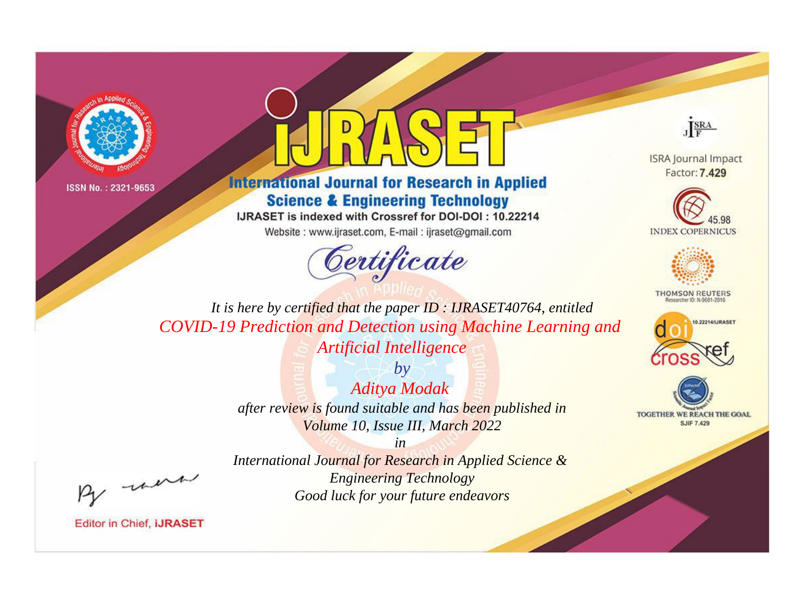



**International Journal for Research in Applied Science & Engineering Technology** 

IJRASET is indexed with Crossref for DOI-DOI: 10.22214

Website: www.ijraset.com, E-mail: ijraset@gmail.com



JERA

**ISRA Journal Impact** Factor: 7.429





**THOMSON REUTERS** 



TOGETHER WE REACH THE GOAL **SJIF 7.429** 

It is here by certified that the paper ID: IJRASET40764, entitled **COVID-19 Prediction and Detection using Machine Learning and Artificial Intelligence** 

> $by$ Aditya Modak after review is found suitable and has been published in Volume 10, Issue III, March 2022

were

International Journal for Research in Applied Science & **Engineering Technology** Good luck for your future endeavors

 $in$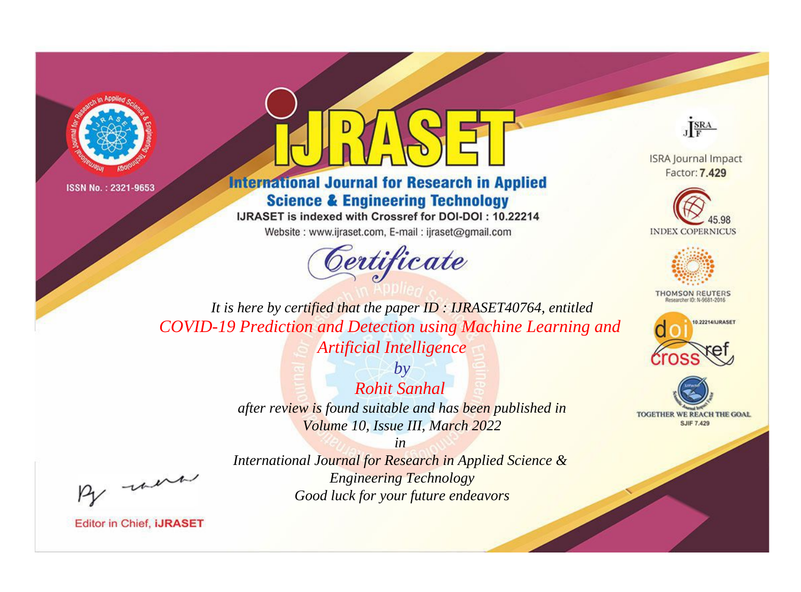



**International Journal for Research in Applied Science & Engineering Technology** 

IJRASET is indexed with Crossref for DOI-DOI: 10.22214

Website: www.ijraset.com, E-mail: ijraset@gmail.com



JERA

**ISRA Journal Impact** Factor: 7.429





**THOMSON REUTERS** 



TOGETHER WE REACH THE GOAL **SJIF 7.429** 

It is here by certified that the paper ID: IJRASET40764, entitled **COVID-19 Prediction and Detection using Machine Learning and Artificial Intelligence** 

> $b\nu$ **Rohit Sanhal** after review is found suitable and has been published in Volume 10, Issue III, March 2022

> > $in$

International Journal for Research in Applied Science & **Engineering Technology** Good luck for your future endeavors

were